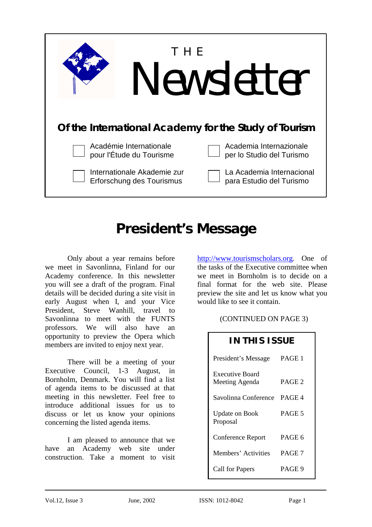

# **President's Message**

Only about a year remains before we meet in Savonlinna, Finland for our Academy conference. In this newsletter you will see a draft of the program. Final details will be decided during a site visit in early August when I, and your Vice President, Steve Wanhill, travel to Savonlinna to meet with the FUNTS professors. We will also have an opportunity to preview the Opera which members are invited to enjoy next year.

There will be a meeting of your Executive Council, 1-3 August, in Bornholm, Denmark. You will find a list of agenda items to be discussed at that meeting in this newsletter. Feel free to introduce additional issues for us to discuss or let us know your opinions concerning the listed agenda items.

I am pleased to announce that we have an Academy web site under construction. Take a moment to visit

http://www.tourismscholars.org. One of the tasks of the Executive committee when we meet in Bornholm is to decide on a final format for the web site. Please preview the site and let us know what you would like to see it contain.

(CONTINUED ON PAGE 3)

| IN THIS ISSUE                     |                   |
|-----------------------------------|-------------------|
| President's Message               | PAGE 1            |
| Executive Board<br>Meeting Agenda | PAGE <sub>2</sub> |
| Savolinna Conference              | PAGE 4            |
| <b>Update on Book</b><br>Proposal | PAGE 5            |
| Conference Report                 | PAGE 6            |
| Members' Activities               | PAGE 7            |
| Call for Papers                   | PAGE 9            |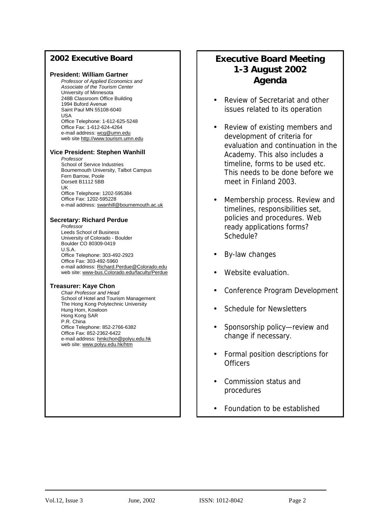### **2002 Executive Board**

### **President: William Gartner**

*Professor of Applied Economics and Associate of the Tourism Center*  University of Minnesota 248B Classroom Office Building 1994 Buford Avenue Saint Paul MN 55108-6040 USA Office Telephone: 1-612-625-5248 Office Fax: 1-612-624-4264 e-mail address: wcg@umn.edu web site http://www.tourism.umn.edu

### **Vice President: Stephen Wanhill**

*Professor*  School of Service Industries Bournemouth University, Talbot Campus Fern Barrow, Poole Dorsett B1112 5BB UK Office Telephone: 1202-595384 Office Fax: 1202-595228 e-mail address: swanhill@bournemouth.ac.uk

### **Secretary: Richard Perdue**

*Professor*  Leeds School of Business University of Colorado - Boulder Boulder CO 80309-0419 U.S.A. Office Telephone: 303-492-2923 Office Fax: 303-492-5960 e-mail address: Richard.Perdue@Colorado.edu web site: www-bus.Colorado.edu/faculty/Perdue

### **Treasurer: Kaye Chon**

*Chair Professor and Head*  School of Hotel and Tourism Management The Hong Kong Polytechnic University Hung Hom, Kowloon Hong Kong SAR P.R. China Office Telephone: 852-2766-6382 Office Fax: 852-2362-6422 e-mail address: hmkchon@polyu.edu.hk web site: www.polyu.edu.hk/htm

# **Executive Board Meeting 1-3 August 2002 Agenda**

- Review of Secretariat and other issues related to its operation
- Review of existing members and development of criteria for evaluation and continuation in the Academy. This also includes a timeline, forms to be used etc. This needs to be done before we meet in Finland 2003.
- Membership process. Review and timelines, responsibilities set, policies and procedures. Web ready applications forms? Schedule?
- By-law changes
- Website evaluation
- Conference Program Development
- Schedule for Newsletters
- Sponsorship policy—review and change if necessary.
- Formal position descriptions for **Officers**
- Commission status and procedures
- Foundation to be established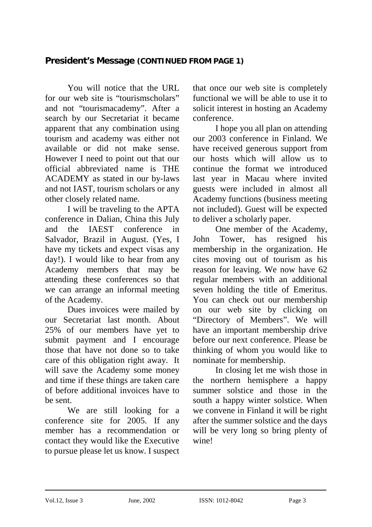# **President's Message (CONTINUED FROM PAGE 1)**

You will notice that the URL for our web site is "tourismscholars" and not "tourismacademy". After a search by our Secretariat it became apparent that any combination using tourism and academy was either not available or did not make sense. However I need to point out that our official abbreviated name is THE ACADEMY as stated in our by-laws and not IAST, tourism scholars or any other closely related name.

I will be traveling to the APTA conference in Dalian, China this July and the IAEST conference in Salvador, Brazil in August. (Yes, I have my tickets and expect visas any day!). I would like to hear from any Academy members that may be attending these conferences so that we can arrange an informal meeting of the Academy.

Dues invoices were mailed by our Secretariat last month. About 25% of our members have yet to submit payment and I encourage those that have not done so to take care of this obligation right away. It will save the Academy some money and time if these things are taken care of before additional invoices have to be sent.

We are still looking for a conference site for 2005. If any member has a recommendation or contact they would like the Executive to pursue please let us know. I suspect that once our web site is completely functional we will be able to use it to solicit interest in hosting an Academy conference.

 I hope you all plan on attending our 2003 conference in Finland. We have received generous support from our hosts which will allow us to continue the format we introduced last year in Macau where invited guests were included in almost all Academy functions (business meeting not included). Guest will be expected to deliver a scholarly paper.

One member of the Academy, John Tower, has resigned his membership in the organization. He cites moving out of tourism as his reason for leaving. We now have 62 regular members with an additional seven holding the title of Emeritus. You can check out our membership on our web site by clicking on "Directory of Members". We will have an important membership drive before our next conference. Please be thinking of whom you would like to nominate for membership.

In closing let me wish those in the northern hemisphere a happy summer solstice and those in the south a happy winter solstice. When we convene in Finland it will be right after the summer solstice and the days will be very long so bring plenty of wine!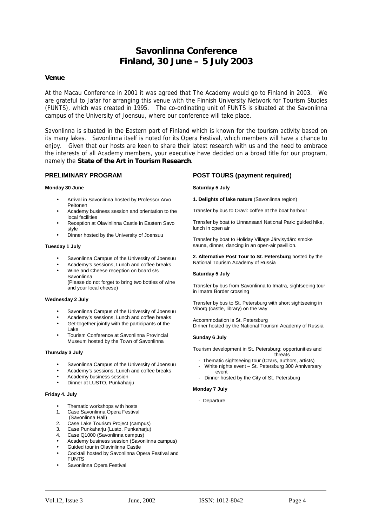# **Savonlinna Conference Finland, 30 June – 5 July 2003**

### **Venue**

At the Macau Conference in 2001 it was agreed that The Academy would go to Finland in 2003. We are grateful to Jafar for arranging this venue with the Finnish University Network for Tourism Studies (FUNTS), which was created in 1995. The co-ordinating unit of FUNTS is situated at the Savonlinna campus of the University of Joensuu, where our conference will take place.

Savonlinna is situated in the Eastern part of Finland which is known for the tourism activity based on its many lakes. Savonlinna itself is noted for its Opera Festival, which members will have a chance to enjoy. Given that our hosts are keen to share their latest research with us and the need to embrace the interests of all Academy members, your executive have decided on a broad title for our program, namely the **State of the Art in Tourism Research**.

### **PRELIMINARY PROGRAM**

### **Monday 30 June**

- Arrival in Savonlinna hosted by Professor Arvo Peltonen
- Academy business session and orientation to the local facilities
- Reception at Olavinlinna Castle in Eastern Savo style
- Dinner hosted by the University of Joensuu

### **Tuesday 1 July**

- Savonlinna Campus of the University of Joensuu
- Academy's sessions, Lunch and coffee breaks
- Wine and Cheese reception on board s/s Savonlinna

(Please do not forget to bring two bottles of wine and your local cheese)

### **Wednesday 2 July**

- Savonlinna Campus of the University of Joensuu
- Academy's sessions, Lunch and coffee breaks
- Get-together jointly with the participants of the Lake
- Tourism Conference at Savonlinna Provincial Museum hosted by the Town of Savonlinna

### **Thursday 3 July**

- Savonlinna Campus of the University of Joensuu
- Academy's sessions, Lunch and coffee breaks
- Academy business session
- Dinner at LUSTO, Punkaharju

### **Friday 4. July**

- Thematic workshops with hosts
- 1. Case Savonlinna Opera Festival
- (Savonlinna Hall)
- 2. Case Lake Tourism Project (campus)<br>3. Case Punkabariu (Lusto, Punkabariu) Case Punkahariu (Lusto, Punkahariu)
- 4. Case Q1000 (Savonlinna campus)
- Academy business session (Savonlinna campus)
- Guided tour in Olavinlinna Castle
- Cocktail hosted by Savonlinna Opera Festival and **FUNTS**
- Savonlinna Opera Festival

### **POST TOURS (payment required)**

### **Saturday 5 July**

**1. Delights of lake nature** (Savonlinna region)

Transfer by bus to Oravi: coffee at the boat harbour

Transfer by boat to Linnansaari National Park: guided hike, lunch in open air

Transfer by boat to Holiday Village Järvisydän: smoke sauna, dinner, dancing in an open-air pavillion.

**2. Alternative Post Tour to St. Petersburg** hosted by the National Tourism Academy of Russia

#### **Saturday 5 July**

Transfer by bus from Savonlinna to Imatra, sightseeing tour in Imatra Border crossing

Transfer by bus to St. Petersburg with short sightseeing in Viborg (castle, library) on the way

Accommodation is St. Petersburg Dinner hosted by the National Tourism Academy of Russia

### **Sunday 6 July**

Tourism development in St. Petersburg: opportunities and threats

- Thematic sightseeing tour (Czars, authors, artists) White nights event – St. Petersburg 300 Anniversary event
- Dinner hosted by the City of St. Petersburg

#### **Monday 7 July**

- Departure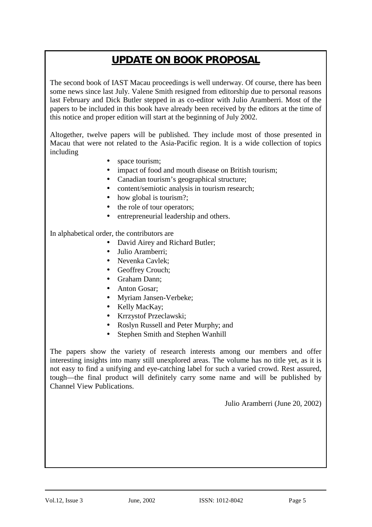# **UPDATE ON BOOK PROPOSAL**

The second book of IAST Macau proceedings is well underway. Of course, there has been some news since last July. Valene Smith resigned from editorship due to personal reasons last February and Dick Butler stepped in as co-editor with Julio Aramberri. Most of the papers to be included in this book have already been received by the editors at the time of this notice and proper edition will start at the beginning of July 2002.

Altogether, twelve papers will be published. They include most of those presented in Macau that were not related to the Asia-Pacific region. It is a wide collection of topics including

- space tourism;
- impact of food and mouth disease on British tourism;
- Canadian tourism's geographical structure;
- content/semiotic analysis in tourism research;
- how global is tourism?;
- the role of tour operators;
- entrepreneurial leadership and others.

In alphabetical order, the contributors are

- David Airey and Richard Butler;
- Julio Aramberri;
- Nevenka Cavlek:
- Geoffrey Crouch;
- Graham Dann;
- Anton Gosar:
- Myriam Jansen-Verbeke;
- Kelly MacKay;
- Krrzystof Przeclawski;
- Roslyn Russell and Peter Murphy; and
- Stephen Smith and Stephen Wanhill

The papers show the variety of research interests among our members and offer interesting insights into many still unexplored areas. The volume has no title yet, as it is not easy to find a unifying and eye-catching label for such a varied crowd. Rest assured, tough—the final product will definitely carry some name and will be published by Channel View Publications.

Julio Aramberri (June 20, 2002)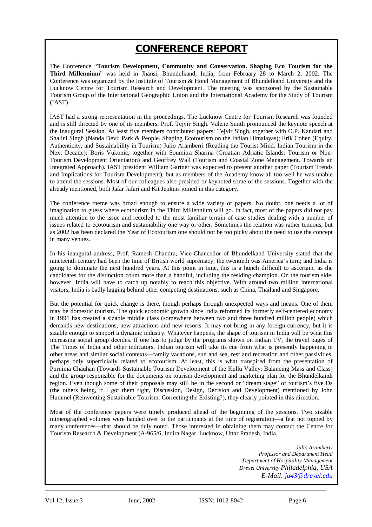# **CONFERENCE REPORT**

The Conference "**Tourism Development, Community and Conservation. Shaping Eco Tourism for the Third Millennium**" was held in Jhansi, Bhundelkand, India, from February 28 to March 2, 2002. The Conference was organized by the Institute of Tourism & Hotel Management of Bhundelkand University and the Lucknow Centre for Tourism Research and Development. The meeting was sponsored by the Sustainable Tourism Group of the International Geographic Union and the International Academy for the Study of Tourism (IAST).

IAST had a strong representation in the proceedings. The Lucknow Centre for Tourism Research was founded and is still directed by one of its members, Prof. Tejvir Singh. Valene Smith pronounced the keynote speech at the Inaugural Session. At least five members contributed papers: Tejvir Singh, together with O.P. Kandari and Shalini Singh (Nanda Devi: Park & People. Shaping Ecotourism on the Indian Himalayas); Erik Cohen (Equity, Authenticity, and Sustainability in Tourism) Julio Aramberri (Reading the Tourist Mind. Indian Tourism in the Next Decade); Boris Vukonic, together with Soumitra Sharma (Croatian Adriatic Islands: Tourism or Non-Tourism Development Orientation) and Geoffrey Wall (Tourism and Coastal Zone Management. Towards an Integrated Approach). IAST president William Gartner was expected to present another paper (Tourism Trends and Implications for Tourism Development), but as members of the Academy know all too well he was unable to attend the sessions. Most of our colleagues also presided or keynoted some of the sessions. Together with the already mentioned, both Jafar Jafari and Kit Jenkins joined in this category.

The conference theme was broad enough to ensure a wide variety of papers. No doubt, one needs a lot of imagination to guess where ecotourism in the Third Millennium will go. In fact, most of the papers did not pay much attention to the issue and recoiled to the most familiar terrain of case studies dealing with a number of issues related to ecotourism and sustainability one way or other. Sometimes the relation was rather tenuous, but as 2002 has been declared the Year of Ecotourism one should not be too picky about the need to use the concept in many venues.

In his inaugural address, Prof. Ramesh Chandra, Vice-Chancellor of Bhundelkand University stated that the nineteenth century had been the time of British world supremacy; the twentieth was America's turn; and India is going to dominate the next hundred years. At this point in time, this is a hunch difficult to ascertain, as the candidates for the distinction count more than a handful, including the residing champion. On the tourism side, however, India will have to catch up notably to reach this objective. With around two million international visitors, India is badly lagging behind other competing destinations, such as China, Thailand and Singapore.

But the potential for quick change is there, though perhaps through unexpected ways and means. One of them may be domestic tourism. The quick economic growth since India reformed its formerly self-centered economy in 1991 has created a sizable middle class (somewhere between two and three hundred million people) which demands new destinations, new attractions and new resorts. It may not bring in any foreign currency, but it is sizable enough to support a dynamic industry. Whatever happens, the shape of tourism in India will be what this increasing social group decides. If one has to judge by the programs shown on Indian TV, the travel pages of The Times of India and other indicators, Indian tourism will take its cue from what is presently happening in other areas and similar social contexts—family vacations, sun and sea, rest and recreation and other passivities, perhaps only superficially related to ecotourism. At least, this is what transpired from the presentation of Purnima Chauhan (Towards Sustainable Tourism Development of the Kullu Valley: Balancing Mass and Class) and the group responsible for the documents on tourism development and marketing plan for the Bhundelkandi region. Even though some of their proposals may still be in the second or "dream stage" of tourism's five Ds (the others being, if I got them right, Discussion, Design, Decision and Development) mentioned by John Hummel (Reinventing Sustainable Tourism: Correcting the Existing?), they clearly pointed in this direction.

Most of the conference papers were timely produced ahead of the beginning of the sessions. Two sizable mimeographed volumes were handed over to the participants at the time of registration—a feat not topped by many conferences—that should be duly noted. Those interested in obtaining them may contact the Centre for Tourism Research & Development (A-965/6, Indira Nagar, Lucknow, Uttar Pradesh, India.

> *Julio Aramberri Professor and Department Head Department of Hospitality Management Drexel University Philadelphia, USA E-Mail: ja43@drexel.edu*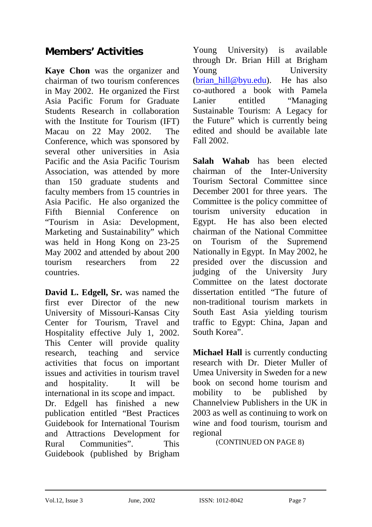# **Members' Activities**

**Kaye Chon** was the organizer and chairman of two tourism conferences in May 2002. He organized the First Asia Pacific Forum for Graduate Students Research in collaboration with the Institute for Tourism (IFT) Macau on 22 May 2002. The Conference, which was sponsored by several other universities in Asia Pacific and the Asia Pacific Tourism Association, was attended by more than 150 graduate students and faculty members from 15 countries in Asia Pacific. He also organized the Fifth Biennial Conference on "Tourism in Asia: Development, Marketing and Sustainability" which was held in Hong Kong on 23-25 May 2002 and attended by about 200 tourism researchers from 22 countries.

**David L. Edgell, Sr.** was named the first ever Director of the new University of Missouri-Kansas City Center for Tourism, Travel and Hospitality effective July 1, 2002. This Center will provide quality research, teaching and service activities that focus on important issues and activities in tourism travel and hospitality. It will be international in its scope and impact. Dr. Edgell has finished a new publication entitled "Best Practices Guidebook for International Tourism and Attractions Development for Rural Communities". This Guidebook (published by Brigham Young University) is available through Dr. Brian Hill at Brigham Young University  $(brian$  hill@byu.edu). He has also co-authored a book with Pamela Lanier entitled "Managing Sustainable Tourism: A Legacy for the Future" which is currently being edited and should be available late Fall 2002.

**Salah Wahab** has been elected chairman of the Inter-University Tourism Sectoral Committee since December 2001 for three years. The Committee is the policy committee of tourism university education in Egypt. He has also been elected chairman of the National Committee on Tourism of the Supremend Nationally in Egypt. In May 2002, he presided over the discussion and judging of the University Jury Committee on the latest doctorate dissertation entitled "The future of non-traditional tourism markets in South East Asia yielding tourism traffic to Egypt: China, Japan and South Korea".

**Michael Hall** is currently conducting research with Dr. Dieter Muller of Umea University in Sweden for a new book on second home tourism and mobility to be published by Channelview Publishers in the UK in 2003 as well as continuing to work on wine and food tourism, tourism and regional

(CONTINUED ON PAGE 8)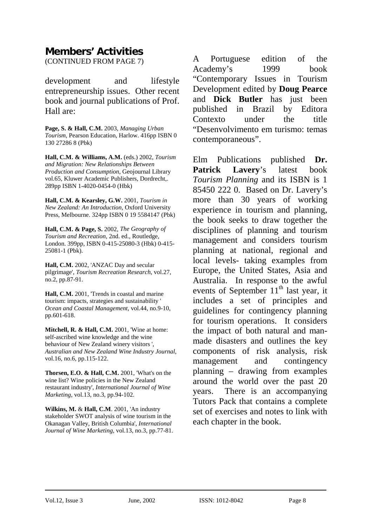# **Members' Activities**

(CONTINUED FROM PAGE 7)

development and lifestyle entrepreneurship issues. Other recent book and journal publications of Prof. Hall are:

**Page, S. & Hall, C.M.** 2003, *Managing Urban Tourism*, Pearson Education, Harlow. 416pp ISBN 0 130 27286 8 (Pbk)

**Hall, C.M. & Williams, A.M.** (eds.) 2002, *Tourism and Migration: New Relationships Between Production and Consumption*, Geojournal Library vol.65, Kluwer Academic Publishers, Dordrecht,. 289pp ISBN 1-4020-0454-0 (Hbk)

**Hall, C.M. & Kearsley, G.W.** 2001, *Tourism in New Zealand: An Introduction*, Oxford University Press, Melbourne. 324pp ISBN 0 19 5584147 (Pbk)

**Hall, C.M. & Page, S.** 2002, *The Geography of Tourism and Recreation*, 2nd. ed., Routledge, London. 399pp, ISBN 0-415-25080-3 (Hbk) 0-415- 25081-1 (Pbk).

**Hall, C.M.** 2002, 'ANZAC Day and secular pilgrimage', *Tourism Recreation Research*, vol.27, no.2, pp.87-91.

**Hall, C.M.** 2001, 'Trends in coastal and marine tourism: impacts, strategies and sustainability ' *Ocean and Coastal Management*, vol.44, no.9-10, pp.601-618.

**Mitchell, R. & Hall, C.M.** 2001, 'Wine at home: self-ascribed wine knowledge and the wine behaviour of New Zealand winery visitors ', *Australian and New Zealand Wine Industry Journal*, vol.16, no.6, pp.115-122.

**Thorsen, E.O. & Hall, C.M.** 2001, 'What's on the wine list? Wine policies in the New Zealand restaurant industry', *International Journal of Wine Marketing*, vol.13, no.3, pp.94-102.

**Wilkins, M.** & **Hall, C.M**. 2001, 'An industry stakeholder SWOT analysis of wine tourism in the Okanagan Valley, British Columbia', *International Journal of Wine Marketing*, vol.13, no.3, pp.77-81. A Portuguese edition of the Academy's 1999 book "Contemporary Issues in Tourism Development edited by **Doug Pearce** and **Dick Butler** has just been published in Brazil by Editora Contexto under the title "Desenvolvimento em turismo: temas contemporaneous".

Elm Publications published **Dr. Patrick Lavery**'s latest book *Tourism Planning* and its ISBN is 1 85450 222 0. Based on Dr. Lavery's more than 30 years of working experience in tourism and planning, the book seeks to draw together the disciplines of planning and tourism management and considers tourism planning at national, regional and local levels- taking examples from Europe, the United States, Asia and Australia. In response to the awful events of September  $11<sup>th</sup>$  last year, it includes a set of principles and guidelines for contingency planning for tourism operations. It considers the impact of both natural and manmade disasters and outlines the key components of risk analysis, risk management and contingency planning – drawing from examples around the world over the past 20 years. There is an accompanying Tutors Pack that contains a complete set of exercises and notes to link with each chapter in the book.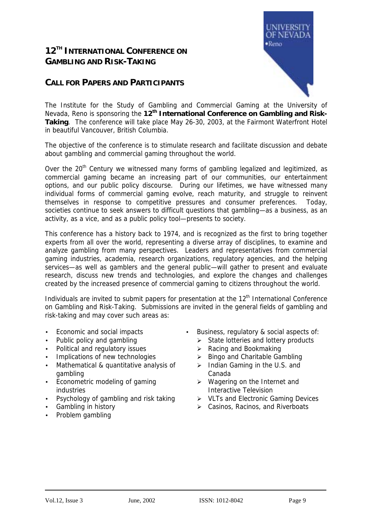# **12TH INTERNATIONAL CONFERENCE ON GAMBLING AND RISK-TAKING**

## **CALL FOR PAPERS AND PARTICIPANTS**



The Institute for the Study of Gambling and Commercial Gaming at the University of Nevada, Reno is sponsoring the 12<sup>th</sup> International Conference on Gambling and Risk-**Taking**. The conference will take place May 26-30, 2003, at the Fairmont Waterfront Hotel in beautiful Vancouver, British Columbia.

The objective of the conference is to stimulate research and facilitate discussion and debate about gambling and commercial gaming throughout the world.

Over the 20<sup>th</sup> Century we witnessed many forms of gambling legalized and legitimized, as commercial gaming became an increasing part of our communities, our entertainment options, and our public policy discourse. During our lifetimes, we have witnessed many individual forms of commercial gaming evolve, reach maturity, and struggle to reinvent themselves in response to competitive pressures and consumer preferences. Today, societies continue to seek answers to difficult questions that gambling—as a business, as an activity, as a vice, and as a public policy tool—presents to society.

This conference has a history back to 1974, and is recognized as the first to bring together experts from all over the world, representing a diverse array of disciplines, to examine and analyze gambling from many perspectives. Leaders and representatives from commercial gaming industries, academia, research organizations, regulatory agencies, and the helping services—as well as gamblers and the general public—will gather to present and evaluate research, discuss new trends and technologies, and explore the changes and challenges created by the increased presence of commercial gaming to citizens throughout the world.

Individuals are invited to submit papers for presentation at the 12<sup>th</sup> International Conference on Gambling and Risk-Taking. Submissions are invited in the general fields of gambling and risk-taking and may cover such areas as:

- 
- 
- Political and regulatory issues  $\rightarrow$  Racing and Bookmaking
- Implications of new technologies  $\rightarrow$  Bingo and Charitable Gambling
- Mathematical & quantitative analysis of gambling
- Econometric modeling of gaming industries
- 
- 
- Problem gambling
- Economic and social impacts Business, regulatory & social aspects of:
- Public policy and gambling  $\rightarrow$  State lotteries and lottery products
	-
	-
	- $\triangleright$  Indian Gaming in the U.S. and Canada
	- $\triangleright$  Wagering on the Internet and Interactive Television
- Psychology of gambling and risk taking  $\rightarrow$  VLTs and Electronic Gaming Devices
- Gambling in history  $\triangleright$  Casinos, Racinos, and Riverboats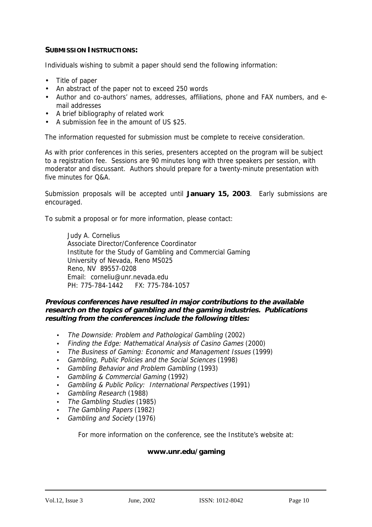### **SUBMISSION INSTRUCTIONS:**

Individuals wishing to submit a paper should send the following information:

- Title of paper
- An abstract of the paper not to exceed 250 words
- Author and co-authors' names, addresses, affiliations, phone and FAX numbers, and email addresses
- A brief bibliography of related work
- A submission fee in the amount of US \$25.

The information requested for submission must be complete to receive consideration.

As with prior conferences in this series, presenters accepted on the program will be subject to a registration fee. Sessions are 90 minutes long with three speakers per session, with moderator and discussant. Authors should prepare for a twenty-minute presentation with five minutes for O&A

Submission proposals will be accepted until **January 15, 2003**. Early submissions are encouraged.

To submit a proposal or for more information, please contact:

Judy A. Cornelius Associate Director/Conference Coordinator Institute for the Study of Gambling and Commercial Gaming University of Nevada, Reno MS025 Reno, NV 89557-0208 Email: corneliu@unr.nevada.edu PH: 775-784-1442 FX: 775-784-1057

### **Previous conferences have resulted in major contributions to the available research on the topics of gambling and the gaming industries. Publications resulting from the conferences include the following titles:**

- The Downside: Problem and Pathological Gambling (2002)
- Finding the Edge: Mathematical Analysis of Casino Games (2000)
- The Business of Gaming: Economic and Management Issues (1999)
- Gambling, Public Policies and the Social Sciences (1998)
- Gambling Behavior and Problem Gambling (1993)
- Gambling & Commercial Gaming (1992)
- Gambling & Public Policy: International Perspectives (1991)
- Gambling Research (1988)
- The Gambling Studies (1985)
- The Gambling Papers (1982)
- Gambling and Society (1976)

For more information on the conference, see the Institute's website at:

### **www.unr.edu/gaming**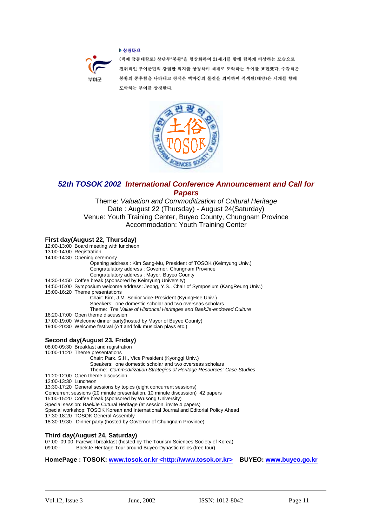### ▶ 상징마크



(백제 금동대향로) 상단부"봉황"을 형상화하여 21세기를 향해 힘차게 비상하는 모습으로 진취적인 부여군민의 강렬한 의지를 상징하며 세계로 도약하는 부여를 표현했다. 주황색은 봉황의 중후함을 나타내고 청색은 백마강의 물결을 의미하며 적색원(태양)은 세계를 향해 도약하는 부여를 상징한다.



*52th TOSOK 2002 International Conference Announcement and Call for Papers*

Theme: *Valuation and Commoditization of Cultural Heritage* Date : August 22 (Thursday) - August 24(Saturday) Venue: Youth Training Center, Buyeo County, Chungnam Province Accommodation: Youth Training Center

### **First day(August 22, Thursday)**

|                      | $\mathbf{r}$ n st aay (August 22, Thursaay)                                              |
|----------------------|------------------------------------------------------------------------------------------|
|                      | 12:00-13:00 Board meeting with luncheon                                                  |
|                      | 13:00-14:00 Registration                                                                 |
|                      | 14:00-14:30 Opening ceremony                                                             |
|                      | Opening address: Kim Sang-Mu, President of TOSOK (Keimyung Univ.)                        |
|                      | Congratulatory address: Governor, Chungnam Province                                      |
|                      | Congratulatory address: Mayor, Buyeo County                                              |
|                      | 14:30-14:50 Coffee break (sponsored by Keimyung University)                              |
|                      | 14:50-15:00 Symposium welcome address: Jeong, Y.S., Chair of Symposium (KangReung Univ.) |
|                      | 15:00-16:20 Theme presentations                                                          |
|                      | Chair: Kim, J.M. Senior Vice-President (KyungHee Univ.)                                  |
|                      | Speakers: one domestic scholar and two overseas scholars                                 |
|                      | Theme: The Value of Historical Heritages and BaekJe-endowed Culture                      |
|                      | 16:20-17:00 Open theme discussion                                                        |
|                      | 17:00-19:00 Welcome dinner party (hosted by Mayor of Buyeo County)                       |
|                      | 19:00-20:30 Welcome festival (Art and folk musician plays etc.)                          |
|                      |                                                                                          |
|                      |                                                                                          |
|                      | Second day(August 23, Friday)                                                            |
|                      | 08:00-09:30 Breakfast and registration                                                   |
|                      | 10:00-11:20 Theme presentations                                                          |
|                      | Chair: Park. S.H., Vice President (Kyonggi Univ.)                                        |
|                      | Speakers: one domestic scholar and two overseas scholars                                 |
|                      | Theme: Commoditization Strategies of Heritage Resources: Case Studies                    |
|                      | 11:20-12:00 Open theme discussion                                                        |
| 12:00-13:30 Luncheon |                                                                                          |
|                      | 13:30-17:20 General sessions by topics (eight concurrent sessions)                       |
|                      | Concurrent sessions (20 minute presentation, 10 minute discussion) 42 papers             |
|                      | 15:00-15:20 Coffee break (sponsored by Wusong University)                                |
|                      | Special session: BaekJe Cutural Heritage (at session, invite 4 papers)                   |
|                      | Special workshop: TOSOK Korean and International Journal and Editorial Policy Ahead      |
|                      | 17:30-18:20 TOSOK General Assembly                                                       |
|                      | 18:30-19:30 Dinner party (hosted by Governor of Chungnam Province)                       |
|                      |                                                                                          |
|                      | Third day/August 24 Saturday)                                                            |

**Third day(August 24, Saturday)**<br>07:00 -09:00 Farewell breakfast (hosted by The Tourism Sciences Society of Korea)<br>09:00 - BaekJe Heritage Tour around Buyeo-Dynastic relics (free tour) BaekJe Heritage Tour around Buyeo-Dynastic relics (free tour)

**HomePage : TOSOK: www.tosok.or.kr <http://www.tosok.or.kr> BUYEO: www.buyeo.go.kr**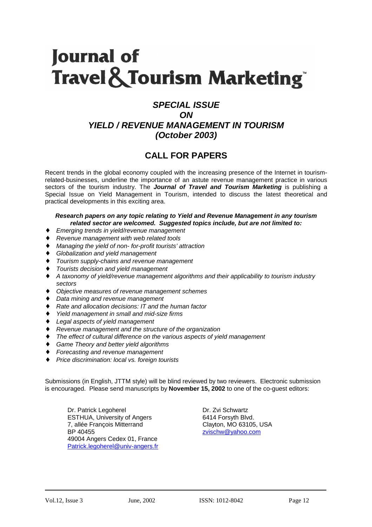# **Journal of Travel & Tourism Marketing®**

# *SPECIAL ISSUE ON YIELD / REVENUE MANAGEMENT IN TOURISM (October 2003)*

# **CALL FOR PAPERS**

Recent trends in the global economy coupled with the increasing presence of the Internet in tourismrelated-businesses, underline the importance of an astute revenue management practice in various sectors of the tourism industry. The *Journal of Travel and Tourism Marketing* is publishing a Special Issue on Yield Management in Tourism, intended to discuss the latest theoretical and practical developments in this exciting area.

### *Research papers on any topic relating to Yield and Revenue Management in any tourism related sector are welcomed. Suggested topics include, but are not limited to:*

- ♦ *Emerging trends in yield/revenue management*
- ♦ *Revenue management with web related tools*
- ♦ *Managing the yield of non- for-profit tourists' attraction*
- ♦ *Globalization and yield management*
- **Tourism supply-chains and revenue management**
- ♦ *Tourists decision and yield management*
- ♦ *A taxonomy of yield/revenue management algorithms and their applicability to tourism industry sectors*
- ♦ *Objective measures of revenue management schemes*
- ♦ *Data mining and revenue management*
- ♦ *Rate and allocation decisions: IT and the human factor*
- **Yield management in small and mid-size firms**
- ♦ *Legal aspects of yield management*
- ♦ *Revenue management and the structure of the organization*
- The effect of cultural difference on the various aspects of yield management
- ♦ *Game Theory and better yield algorithms*
- *Forecasting and revenue management*
- *Price discrimination: local vs. foreign tourists*

Submissions (in English, JTTM style) will be blind reviewed by two reviewers. Electronic submission is encouraged. Please send manuscripts by **November 15, 2002** to one of the co-guest editors:

Dr. Patrick Legoherel Dr. Zvi Schwartz ESTHUA, University of Angers 6414 Forsyth Blvd. 7, allée François Mitterrand Clayton, MO 63105, USA BP 40455 zvischw@yahoo.com 49004 Angers Cedex 01, France Patrick.legoherel@univ-angers.fr